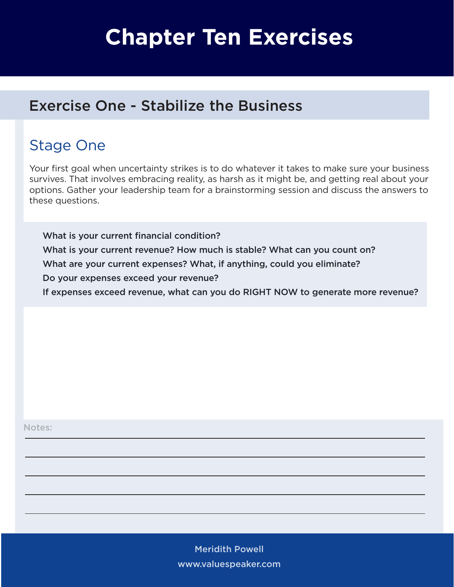# **Chapter Ten Exercises**

#### Exercise One - Stabilize the Business

# Stage One

Your first goal when uncertainty strikes is to do whatever it takes to make sure your business survives. That involves embracing reality, as harsh as it might be, and getting real about your options. Gather your leadership team for a brainstorming session and discuss the answers to these questions.

What is your current financial condition? What is your current revenue? How much is stable? What can you count on? What are your current expenses? What, if anything, could you eliminate? Do your expenses exceed your revenue? If expenses exceed revenue, what can you do RIGHT NOW to generate more revenue?

Notes:

Meridith Powell www.valuespeaker.com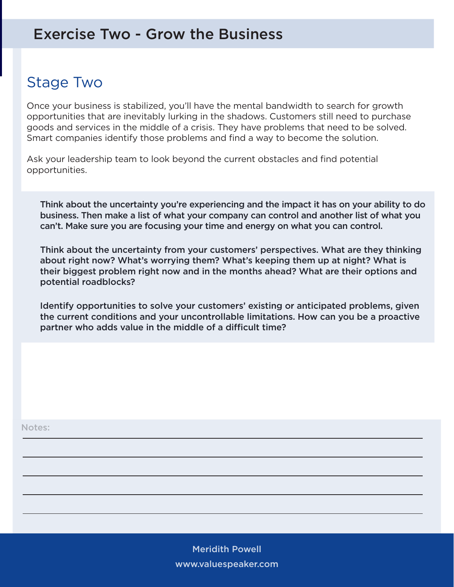#### Exercise Two - Grow the Business

## Stage Two

Once your business is stabilized, you'll have the mental bandwidth to search for growth opportunities that are inevitably lurking in the shadows. Customers still need to purchase goods and services in the middle of a crisis. They have problems that need to be solved. Smart companies identify those problems and find a way to become the solution.

Ask your leadership team to look beyond the current obstacles and find potential opportunities.

Think about the uncertainty you're experiencing and the impact it has on your ability to do business. Then make a list of what your company can control and another list of what you can't. Make sure you are focusing your time and energy on what you can control.

Think about the uncertainty from your customers' perspectives. What are they thinking about right now? What's worrying them? What's keeping them up at night? What is their biggest problem right now and in the months ahead? What are their options and potential roadblocks?

Identify opportunities to solve your customers' existing or anticipated problems, given the current conditions and your uncontrollable limitations. How can you be a proactive partner who adds value in the middle of a difficult time?

Notes:

Meridith Powell www.valuespeaker.com